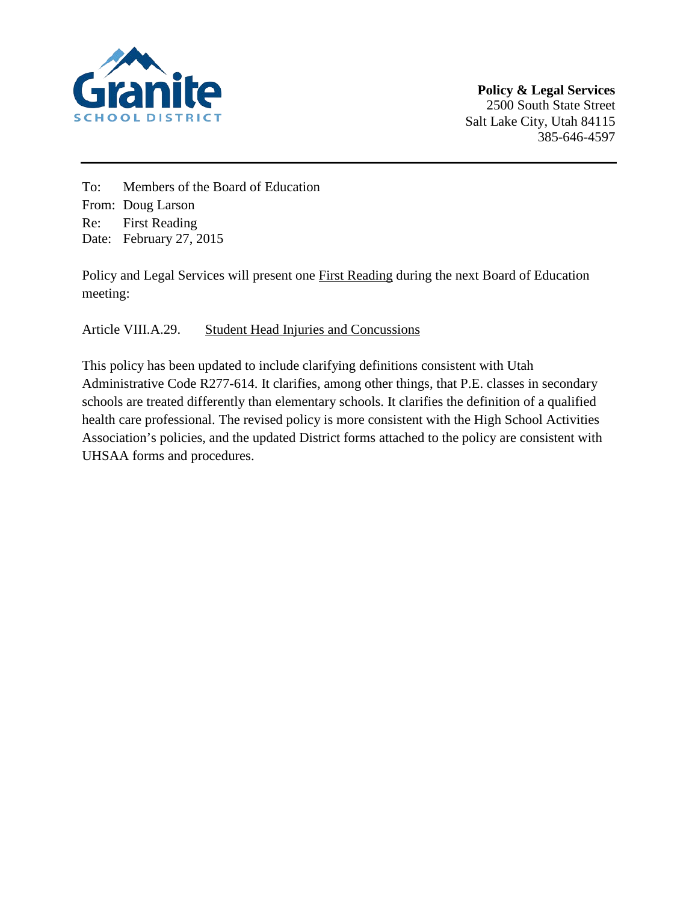

To: Members of the Board of Education From: Doug Larson Re: First Reading Date: February 27, 2015

Policy and Legal Services will present one First Reading during the next Board of Education meeting:

# Article VIII.A.29. Student Head Injuries and Concussions

This policy has been updated to include clarifying definitions consistent with Utah Administrative Code R277-614. It clarifies, among other things, that P.E. classes in secondary schools are treated differently than elementary schools. It clarifies the definition of a qualified health care professional. The revised policy is more consistent with the High School Activities Association's policies, and the updated District forms attached to the policy are consistent with UHSAA forms and procedures.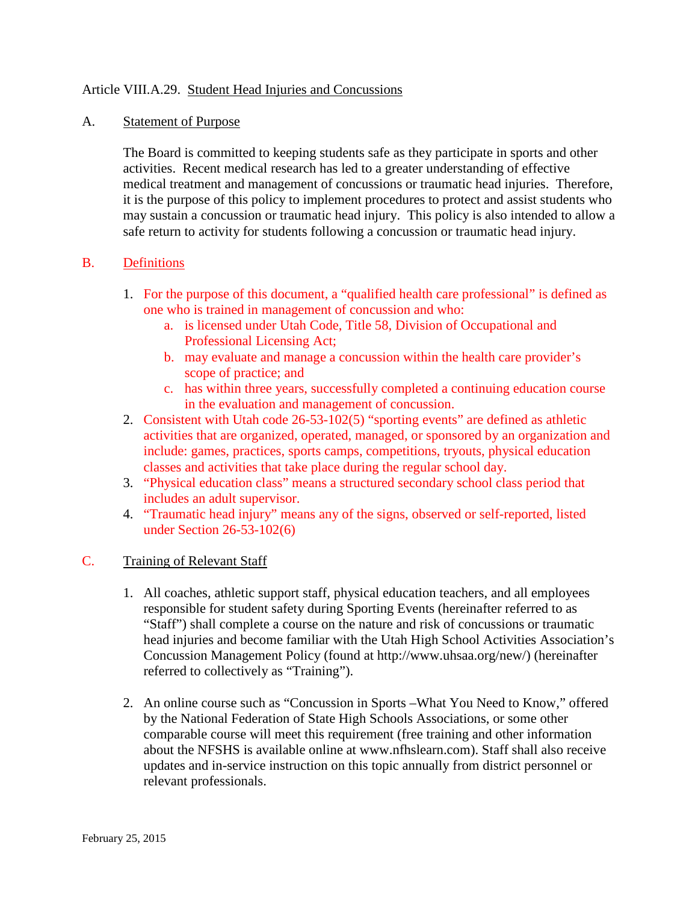### Article VIII.A.29. Student Head Injuries and Concussions

#### A. Statement of Purpose

The Board is committed to keeping students safe as they participate in sports and other activities. Recent medical research has led to a greater understanding of effective medical treatment and management of concussions or traumatic head injuries. Therefore, it is the purpose of this policy to implement procedures to protect and assist students who may sustain a concussion or traumatic head injury. This policy is also intended to allow a safe return to activity for students following a concussion or traumatic head injury.

### B. Definitions

- 1. For the purpose of this document, a "qualified health care professional" is defined as one who is trained in management of concussion and who:
	- a. is licensed under Utah Code, Title 58, Division of Occupational and Professional Licensing Act;
	- b. may evaluate and manage a concussion within the health care provider's scope of practice; and
	- c. has within three years, successfully completed a continuing education course in the evaluation and management of concussion.
- 2. Consistent with Utah code 26-53-102(5) "sporting events" are defined as athletic activities that are organized, operated, managed, or sponsored by an organization and include: games, practices, sports camps, competitions, tryouts, physical education classes and activities that take place during the regular school day.
- 3. "Physical education class" means a structured secondary school class period that includes an adult supervisor.
- 4. "Traumatic head injury" means any of the signs, observed or self-reported, listed under Section 26-53-102(6)

### C. Training of Relevant Staff

- 1. All coaches, athletic support staff, physical education teachers, and all employees responsible for student safety during Sporting Events (hereinafter referred to as "Staff") shall complete a course on the nature and risk of concussions or traumatic head injuries and become familiar with the Utah High School Activities Association's Concussion Management Policy (found at http://www.uhsaa.org/new/) (hereinafter referred to collectively as "Training").
- 2. An online course such as "Concussion in Sports –What You Need to Know," offered by the National Federation of State High Schools Associations, or some other comparable course will meet this requirement (free training and other information about the NFSHS is available online at www.nfhslearn.com). Staff shall also receive updates and in-service instruction on this topic annually from district personnel or relevant professionals.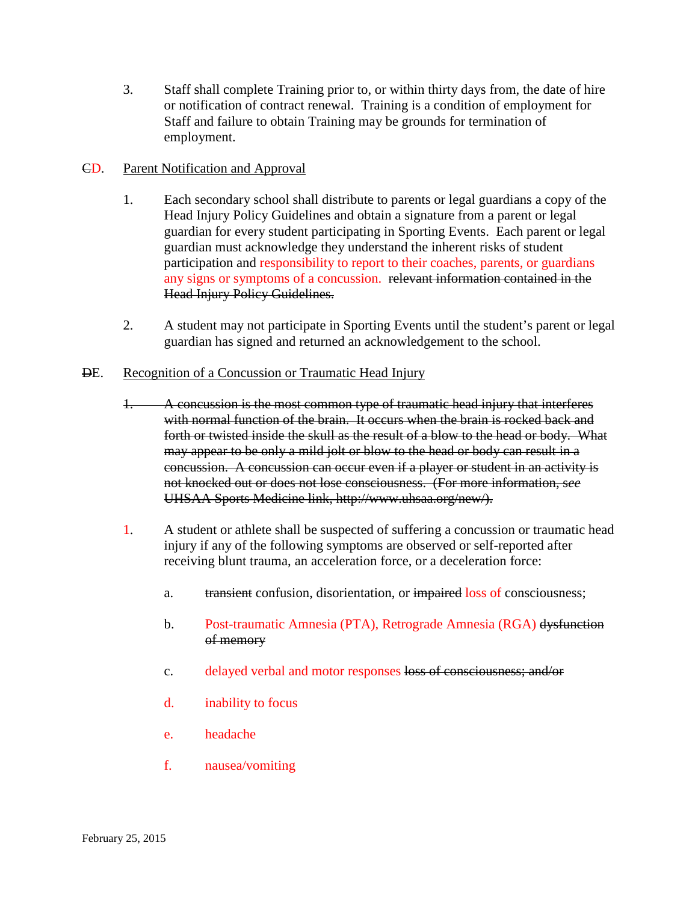3. Staff shall complete Training prior to, or within thirty days from, the date of hire or notification of contract renewal. Training is a condition of employment for Staff and failure to obtain Training may be grounds for termination of employment.

### CD. Parent Notification and Approval

- 1. Each secondary school shall distribute to parents or legal guardians a copy of the Head Injury Policy Guidelines and obtain a signature from a parent or legal guardian for every student participating in Sporting Events. Each parent or legal guardian must acknowledge they understand the inherent risks of student participation and responsibility to report to their coaches, parents, or guardians any signs or symptoms of a concussion. relevant information contained in the Head Injury Policy Guidelines.
- 2. A student may not participate in Sporting Events until the student's parent or legal guardian has signed and returned an acknowledgement to the school.

### DE. Recognition of a Concussion or Traumatic Head Injury

- 1. A concussion is the most common type of traumatic head injury that interferes with normal function of the brain. It occurs when the brain is rocked back and forth or twisted inside the skull as the result of a blow to the head or body. What may appear to be only a mild jolt or blow to the head or body can result in a concussion. A concussion can occur even if a player or student in an activity is not knocked out or does not lose consciousness. (For more information, s*ee*  UHSAA Sports Medicine link, http://www.uhsaa.org/new/).
- 1. A student or athlete shall be suspected of suffering a concussion or traumatic head injury if any of the following symptoms are observed or self-reported after receiving blunt trauma, an acceleration force, or a deceleration force:
	- a. transient confusion, disorientation, or impaired loss of consciousness;
	- b. Post-traumatic Amnesia (PTA), Retrograde Amnesia (RGA) dysfunction of memory
	- c. delayed verbal and motor responses loss of consciousness; and/or
	- d. inability to focus
	- e. headache
	- f. nausea/vomiting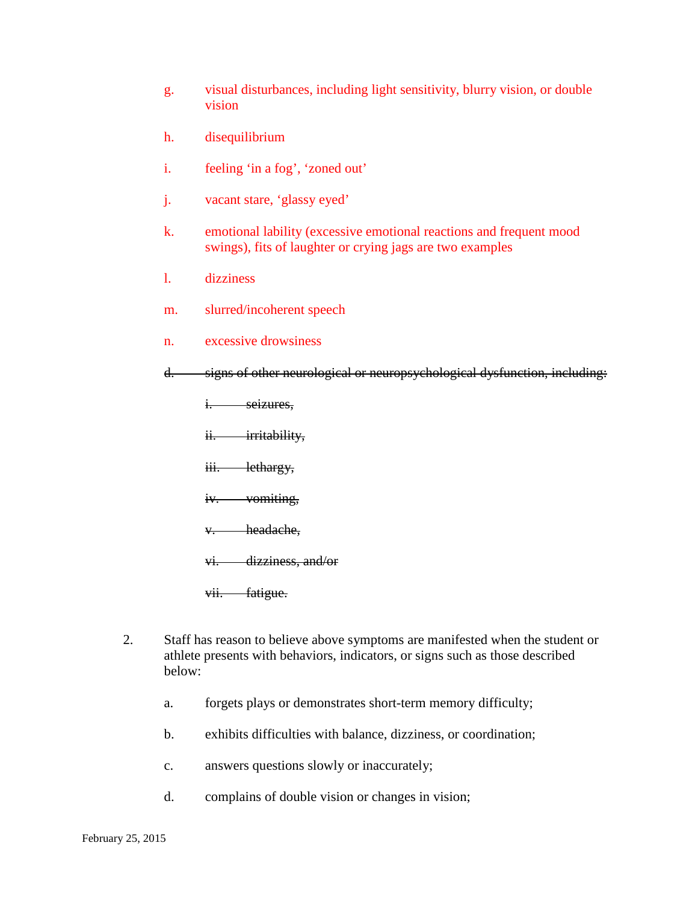- g. visual disturbances, including light sensitivity, blurry vision, or double vision
- h. disequilibrium
- i. feeling 'in a fog', 'zoned out'
- j. vacant stare, 'glassy eyed'
- k. emotional lability (excessive emotional reactions and frequent mood swings), fits of laughter or crying jags are two examples
- l. dizziness
- m. slurred/incoherent speech
- n. excessive drowsiness
- d. signs of other neurological or neuropsychological dysfunction, including:
	- i. seizures,
	- ii. irritability,
	- iii. lethargy,
	- iv. vomiting,
	- v. headache,
	- vi. dizziness, and/or
	- vii. fatigue.
- 2. Staff has reason to believe above symptoms are manifested when the student or athlete presents with behaviors, indicators, or signs such as those described below:
	- a. forgets plays or demonstrates short-term memory difficulty;
	- b. exhibits difficulties with balance, dizziness, or coordination;
	- c. answers questions slowly or inaccurately;
	- d. complains of double vision or changes in vision;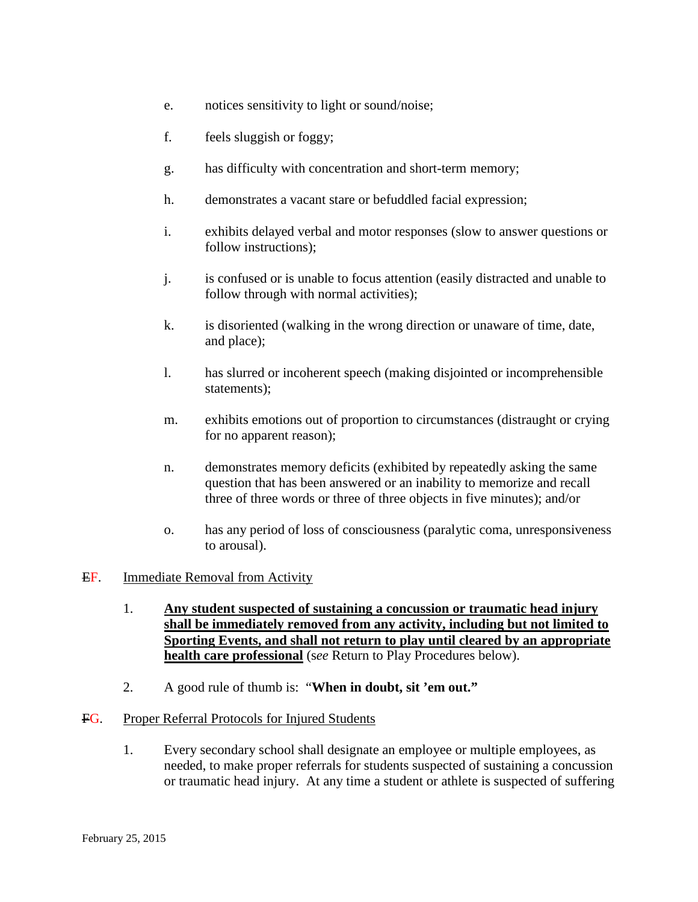- e. notices sensitivity to light or sound/noise;
- f. feels sluggish or foggy;
- g. has difficulty with concentration and short-term memory;
- h. demonstrates a vacant stare or befuddled facial expression;
- i. exhibits delayed verbal and motor responses (slow to answer questions or follow instructions);
- j. is confused or is unable to focus attention (easily distracted and unable to follow through with normal activities);
- k. is disoriented (walking in the wrong direction or unaware of time, date, and place);
- l. has slurred or incoherent speech (making disjointed or incomprehensible statements);
- m. exhibits emotions out of proportion to circumstances (distraught or crying for no apparent reason);
- n. demonstrates memory deficits (exhibited by repeatedly asking the same question that has been answered or an inability to memorize and recall three of three words or three of three objects in five minutes); and/or
- o. has any period of loss of consciousness (paralytic coma, unresponsiveness to arousal).

### EF. Immediate Removal from Activity

- 1. **Any student suspected of sustaining a concussion or traumatic head injury shall be immediately removed from any activity, including but not limited to Sporting Events, and shall not return to play until cleared by an appropriate health care professional** (s*ee* Return to Play Procedures below).
- 2. A good rule of thumb is: "**When in doubt, sit 'em out."**

### FG. Proper Referral Protocols for Injured Students

1. Every secondary school shall designate an employee or multiple employees, as needed, to make proper referrals for students suspected of sustaining a concussion or traumatic head injury. At any time a student or athlete is suspected of suffering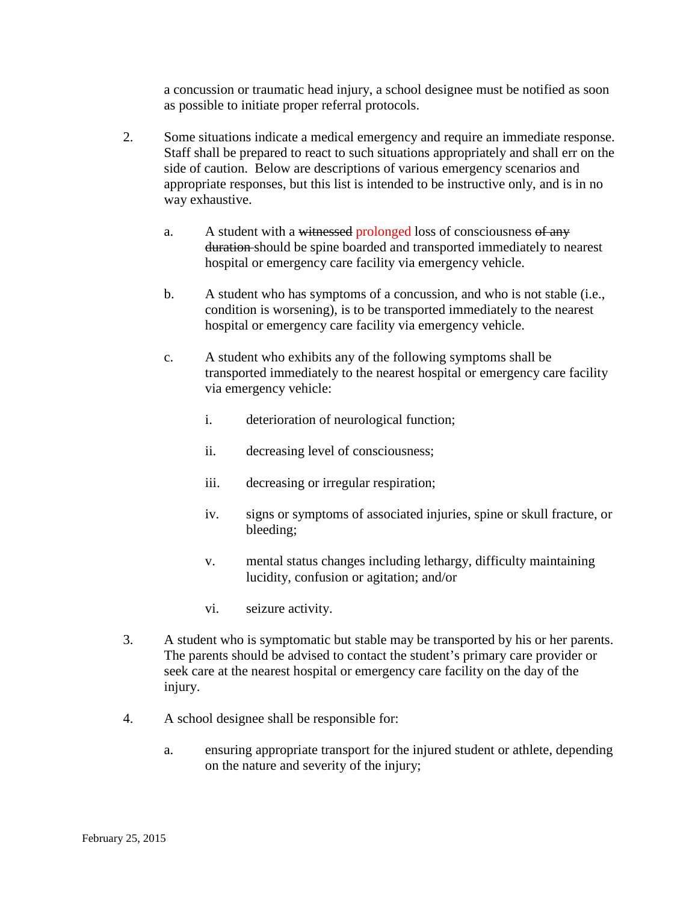a concussion or traumatic head injury, a school designee must be notified as soon as possible to initiate proper referral protocols.

- 2. Some situations indicate a medical emergency and require an immediate response. Staff shall be prepared to react to such situations appropriately and shall err on the side of caution. Below are descriptions of various emergency scenarios and appropriate responses, but this list is intended to be instructive only, and is in no way exhaustive.
	- a. A student with a witnessed prolonged loss of consciousness of any duration should be spine boarded and transported immediately to nearest hospital or emergency care facility via emergency vehicle.
	- b. A student who has symptoms of a concussion, and who is not stable (i.e., condition is worsening), is to be transported immediately to the nearest hospital or emergency care facility via emergency vehicle.
	- c. A student who exhibits any of the following symptoms shall be transported immediately to the nearest hospital or emergency care facility via emergency vehicle:
		- i. deterioration of neurological function;
		- ii. decreasing level of consciousness;
		- iii. decreasing or irregular respiration;
		- iv. signs or symptoms of associated injuries, spine or skull fracture, or bleeding;
		- v. mental status changes including lethargy, difficulty maintaining lucidity, confusion or agitation; and/or
		- vi. seizure activity.
- 3. A student who is symptomatic but stable may be transported by his or her parents. The parents should be advised to contact the student's primary care provider or seek care at the nearest hospital or emergency care facility on the day of the injury.
- 4. A school designee shall be responsible for:
	- a. ensuring appropriate transport for the injured student or athlete, depending on the nature and severity of the injury;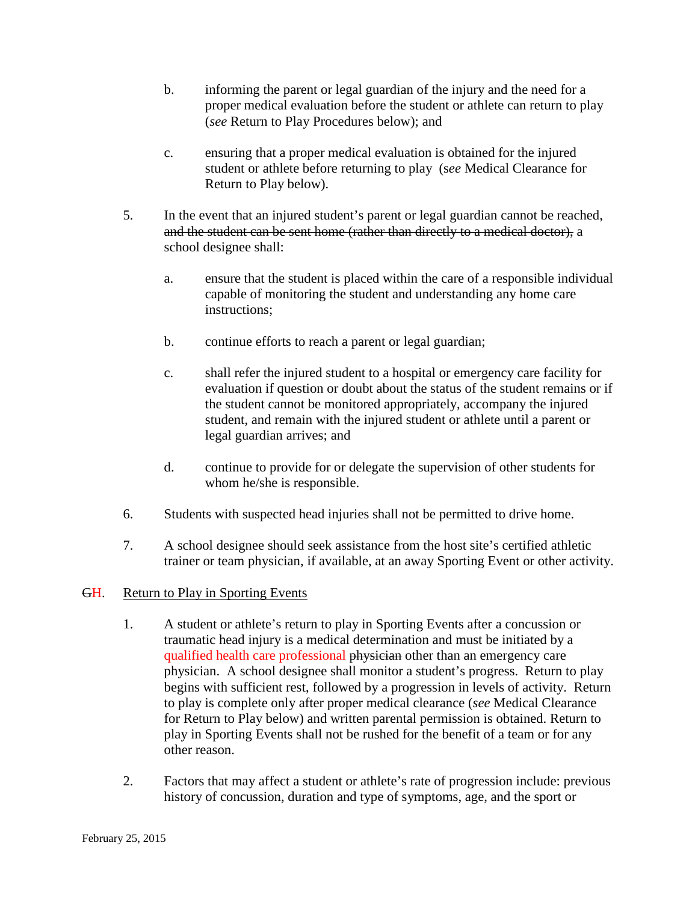- b. informing the parent or legal guardian of the injury and the need for a proper medical evaluation before the student or athlete can return to play (*see* Return to Play Procedures below); and
- c. ensuring that a proper medical evaluation is obtained for the injured student or athlete before returning to play (s*ee* Medical Clearance for Return to Play below).
- 5. In the event that an injured student's parent or legal guardian cannot be reached, and the student can be sent home (rather than directly to a medical doctor), a school designee shall:
	- a. ensure that the student is placed within the care of a responsible individual capable of monitoring the student and understanding any home care instructions;
	- b. continue efforts to reach a parent or legal guardian;
	- c. shall refer the injured student to a hospital or emergency care facility for evaluation if question or doubt about the status of the student remains or if the student cannot be monitored appropriately, accompany the injured student, and remain with the injured student or athlete until a parent or legal guardian arrives; and
	- d. continue to provide for or delegate the supervision of other students for whom he/she is responsible.
- 6. Students with suspected head injuries shall not be permitted to drive home.
- 7. A school designee should seek assistance from the host site's certified athletic trainer or team physician, if available, at an away Sporting Event or other activity.
- GH. Return to Play in Sporting Events
	- 1. A student or athlete's return to play in Sporting Events after a concussion or traumatic head injury is a medical determination and must be initiated by a qualified health care professional physician other than an emergency care physician. A school designee shall monitor a student's progress. Return to play begins with sufficient rest, followed by a progression in levels of activity. Return to play is complete only after proper medical clearance (*see* Medical Clearance for Return to Play below) and written parental permission is obtained. Return to play in Sporting Events shall not be rushed for the benefit of a team or for any other reason.
	- 2. Factors that may affect a student or athlete's rate of progression include: previous history of concussion, duration and type of symptoms, age, and the sport or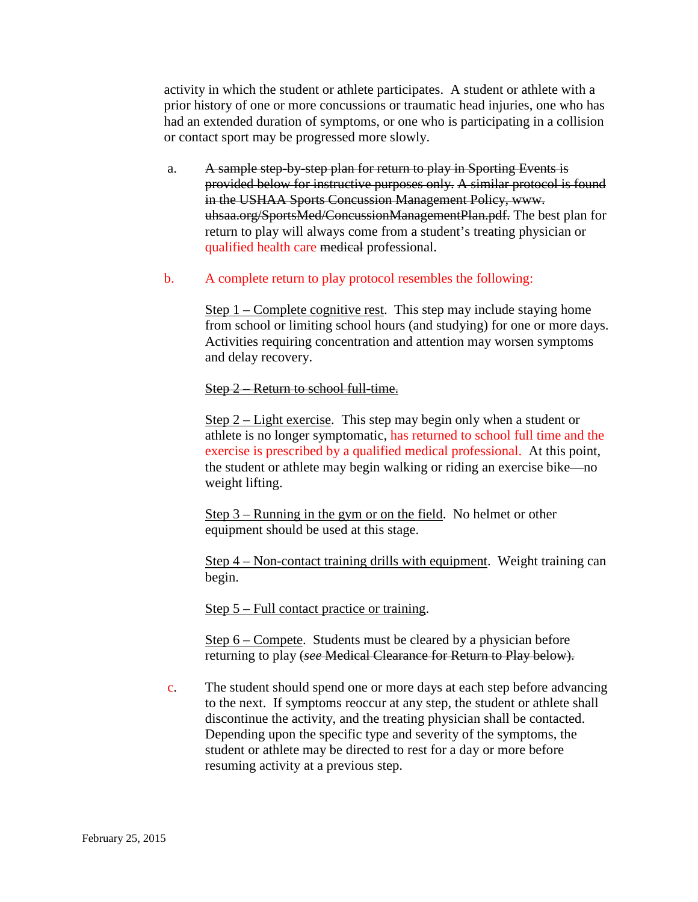activity in which the student or athlete participates. A student or athlete with a prior history of one or more concussions or traumatic head injuries, one who has had an extended duration of symptoms, or one who is participating in a collision or contact sport may be progressed more slowly.

- a. A sample step-by-step plan for return to play in Sporting Events is provided below for instructive purposes only. A similar protocol is found in the USHAA Sports Concussion Management Policy, www. uhsaa.org/SportsMed/ConcussionManagementPlan.pdf. The best plan for return to play will always come from a student's treating physician or qualified health care medical professional.
- b. A complete return to play protocol resembles the following:

Step  $1$  – Complete cognitive rest. This step may include staying home from school or limiting school hours (and studying) for one or more days. Activities requiring concentration and attention may worsen symptoms and delay recovery.

#### Step 2 – Return to school full-time.

Step 2 – Light exercise. This step may begin only when a student or athlete is no longer symptomatic, has returned to school full time and the exercise is prescribed by a qualified medical professional. At this point, the student or athlete may begin walking or riding an exercise bike—no weight lifting.

Step 3 – Running in the gym or on the field. No helmet or other equipment should be used at this stage.

Step 4 – Non-contact training drills with equipment. Weight training can begin.

Step 5 – Full contact practice or training.

Step 6 – Compete. Students must be cleared by a physician before returning to play (*see* Medical Clearance for Return to Play below).

c. The student should spend one or more days at each step before advancing to the next. If symptoms reoccur at any step, the student or athlete shall discontinue the activity, and the treating physician shall be contacted. Depending upon the specific type and severity of the symptoms, the student or athlete may be directed to rest for a day or more before resuming activity at a previous step.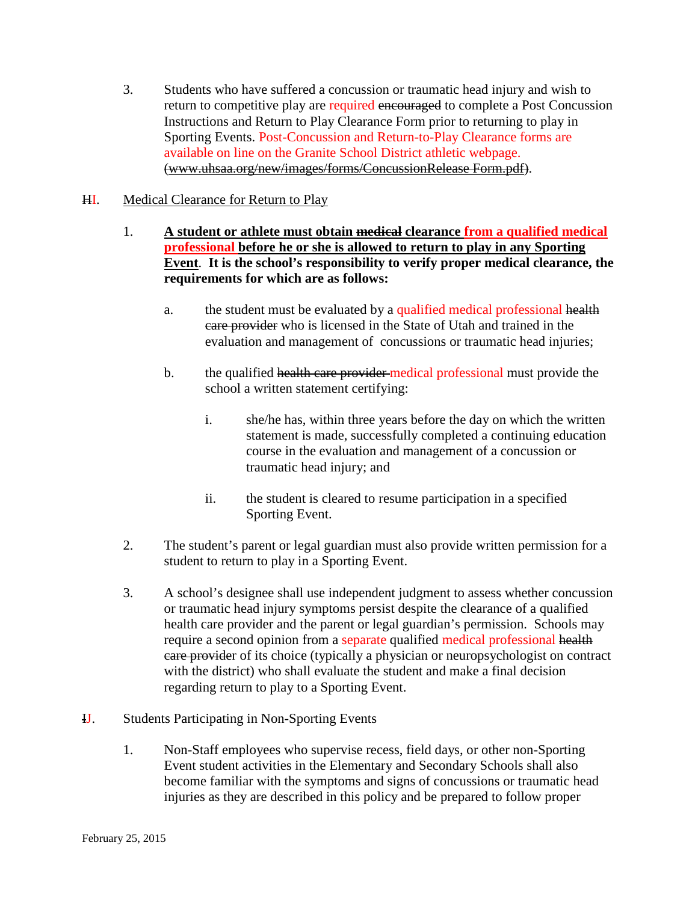3. Students who have suffered a concussion or traumatic head injury and wish to return to competitive play are required encouraged to complete a Post Concussion Instructions and Return to Play Clearance Form prior to returning to play in Sporting Events. Post-Concussion and Return-to-Play Clearance forms are available on line on the Granite School District athletic webpage. [\(www.uhsaa.org/new/images/forms/ConcussionRelease Form.pdf\)](http://www.uhsaa.org/new/images/forms/ConcussionRelease%20Form.pdf).

# HI. Medical Clearance for Return to Play

- 1. **A student or athlete must obtain medical clearance from a qualified medical professional before he or she is allowed to return to play in any Sporting Event**. **It is the school's responsibility to verify proper medical clearance, the requirements for which are as follows:**
	- a. the student must be evaluated by a qualified medical professional health care provider who is licensed in the State of Utah and trained in the evaluation and management of concussions or traumatic head injuries;
	- b. the qualified health care provider medical professional must provide the school a written statement certifying:
		- i. she/he has, within three years before the day on which the written statement is made, successfully completed a continuing education course in the evaluation and management of a concussion or traumatic head injury; and
		- ii. the student is cleared to resume participation in a specified Sporting Event.
- 2. The student's parent or legal guardian must also provide written permission for a student to return to play in a Sporting Event.
- 3. A school's designee shall use independent judgment to assess whether concussion or traumatic head injury symptoms persist despite the clearance of a qualified health care provider and the parent or legal guardian's permission. Schools may require a second opinion from a separate qualified medical professional health care provider of its choice (typically a physician or neuropsychologist on contract with the district) who shall evaluate the student and make a final decision regarding return to play to a Sporting Event.
- IJ. Students Participating in Non-Sporting Events
	- 1. Non-Staff employees who supervise recess, field days, or other non-Sporting Event student activities in the Elementary and Secondary Schools shall also become familiar with the symptoms and signs of concussions or traumatic head injuries as they are described in this policy and be prepared to follow proper